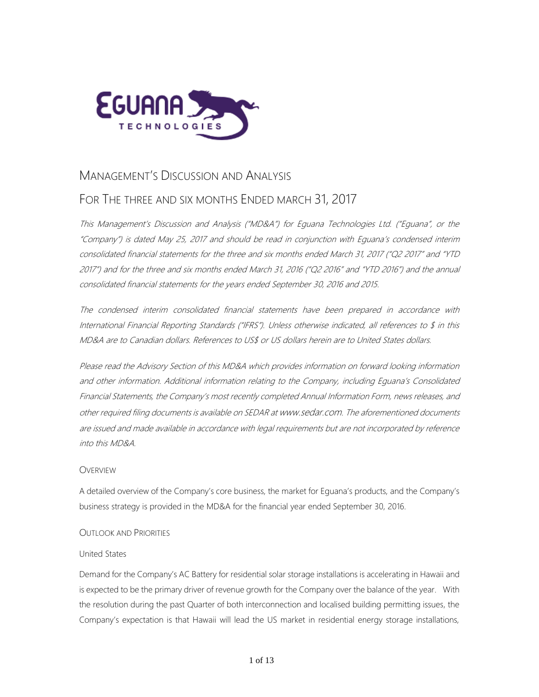

# MANAGEMENT'S DISCUSSION AND ANALYSIS

# FOR THE THREE AND SIX MONTHS ENDED MARCH 31, 2017

This Management's Discussion and Analysis ("MD&A") for Eguana Technologies Ltd. ("Eguana", or the "Company") is dated May 25, 2017 and should be read in conjunction with Eguana's condensed interim consolidated financial statements for the three and six months ended March 31, 2017 ("Q2 2017" and "YTD 2017") and for the three and six months ended March 31, 2016 ("Q2 2016" and "YTD 2016") and the annual consolidated financial statements for the years ended September 30, 2016 and 2015.

The condensed interim consolidated financial statements have been prepared in accordance with International Financial Reporting Standards ("IFRS"). Unless otherwise indicated, all references to \$ in this MD&A are to Canadian dollars. References to US\$ or US dollars herein are to United States dollars.

Please read the Advisory Section of this MD&A which provides information on forward looking information and other information. Additional information relating to the Company, including Eguana's Consolidated Financial Statements, the Company's most recently completed Annual Information Form, news releases, and other required filing documents is available on SEDAR at [www.sedar.com](http://www.sedar.com/). The aforementioned documents are issued and made available in accordance with legal requirements but are not incorporated by reference into this MD&A.

# **OVERVIEW**

A detailed overview of the Company's core business, the market for Eguana's products, and the Company's business strategy is provided in the MD&A for the financial year ended September 30, 2016.

# OUTLOOK AND PRIORITIES

# United States

Demand for the Company's AC Battery for residential solar storage installations is accelerating in Hawaii and is expected to be the primary driver of revenue growth for the Company over the balance of the year. With the resolution during the past Quarter of both interconnection and localised building permitting issues, the Company's expectation is that Hawaii will lead the US market in residential energy storage installations,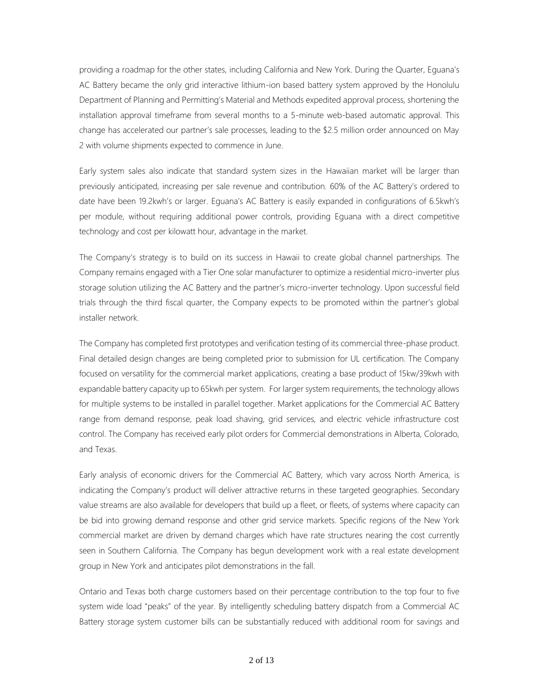providing a roadmap for the other states, including California and New York. During the Quarter, Eguana's AC Battery became the only grid interactive lithium-ion based battery system approved by the Honolulu Department of Planning and Permitting's Material and Methods expedited approval process, shortening the installation approval timeframe from several months to a 5-minute web-based automatic approval. This change has accelerated our partner's sale processes, leading to the \$2.5 million order announced on May 2 with volume shipments expected to commence in June.

Early system sales also indicate that standard system sizes in the Hawaiian market will be larger than previously anticipated, increasing per sale revenue and contribution. 60% of the AC Battery's ordered to date have been 19.2kwh's or larger. Eguana's AC Battery is easily expanded in configurations of 6.5kwh's per module, without requiring additional power controls, providing Eguana with a direct competitive technology and cost per kilowatt hour, advantage in the market.

The Company's strategy is to build on its success in Hawaii to create global channel partnerships. The Company remains engaged with a Tier One solar manufacturer to optimize a residential micro-inverter plus storage solution utilizing the AC Battery and the partner's micro-inverter technology. Upon successful field trials through the third fiscal quarter, the Company expects to be promoted within the partner's global installer network.

The Company has completed first prototypes and verification testing of its commercial three-phase product. Final detailed design changes are being completed prior to submission for UL certification. The Company focused on versatility for the commercial market applications, creating a base product of 15kw/39kwh with expandable battery capacity up to 65kwh per system. For larger system requirements, the technology allows for multiple systems to be installed in parallel together. Market applications for the Commercial AC Battery range from demand response, peak load shaving, grid services, and electric vehicle infrastructure cost control. The Company has received early pilot orders for Commercial demonstrations in Alberta, Colorado, and Texas.

Early analysis of economic drivers for the Commercial AC Battery, which vary across North America, is indicating the Company's product will deliver attractive returns in these targeted geographies. Secondary value streams are also available for developers that build up a fleet, or fleets, of systems where capacity can be bid into growing demand response and other grid service markets. Specific regions of the New York commercial market are driven by demand charges which have rate structures nearing the cost currently seen in Southern California. The Company has begun development work with a real estate development group in New York and anticipates pilot demonstrations in the fall.

Ontario and Texas both charge customers based on their percentage contribution to the top four to five system wide load "peaks" of the year. By intelligently scheduling battery dispatch from a Commercial AC Battery storage system customer bills can be substantially reduced with additional room for savings and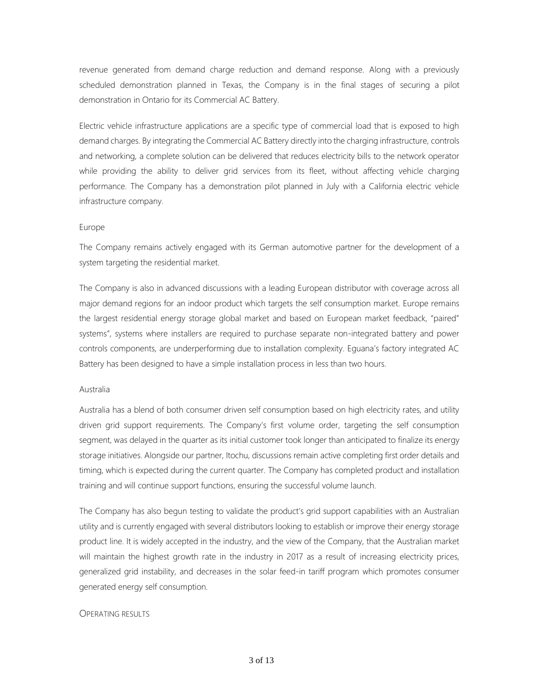revenue generated from demand charge reduction and demand response. Along with a previously scheduled demonstration planned in Texas, the Company is in the final stages of securing a pilot demonstration in Ontario for its Commercial AC Battery.

Electric vehicle infrastructure applications are a specific type of commercial load that is exposed to high demand charges. By integrating the Commercial AC Battery directly into the charging infrastructure, controls and networking, a complete solution can be delivered that reduces electricity bills to the network operator while providing the ability to deliver grid services from its fleet, without affecting vehicle charging performance. The Company has a demonstration pilot planned in July with a California electric vehicle infrastructure company.

## Europe

The Company remains actively engaged with its German automotive partner for the development of a system targeting the residential market.

The Company is also in advanced discussions with a leading European distributor with coverage across all major demand regions for an indoor product which targets the self consumption market. Europe remains the largest residential energy storage global market and based on European market feedback, "paired" systems", systems where installers are required to purchase separate non-integrated battery and power controls components, are underperforming due to installation complexity. Eguana's factory integrated AC Battery has been designed to have a simple installation process in less than two hours.

#### Australia

Australia has a blend of both consumer driven self consumption based on high electricity rates, and utility driven grid support requirements. The Company's first volume order, targeting the self consumption segment, was delayed in the quarter as its initial customer took longer than anticipated to finalize its energy storage initiatives. Alongside our partner, Itochu, discussions remain active completing first order details and timing, which is expected during the current quarter. The Company has completed product and installation training and will continue support functions, ensuring the successful volume launch.

The Company has also begun testing to validate the product's grid support capabilities with an Australian utility and is currently engaged with several distributors looking to establish or improve their energy storage product line. It is widely accepted in the industry, and the view of the Company, that the Australian market will maintain the highest growth rate in the industry in 2017 as a result of increasing electricity prices, generalized grid instability, and decreases in the solar feed-in tariff program which promotes consumer generated energy self consumption.

#### **OPERATING RESULTS**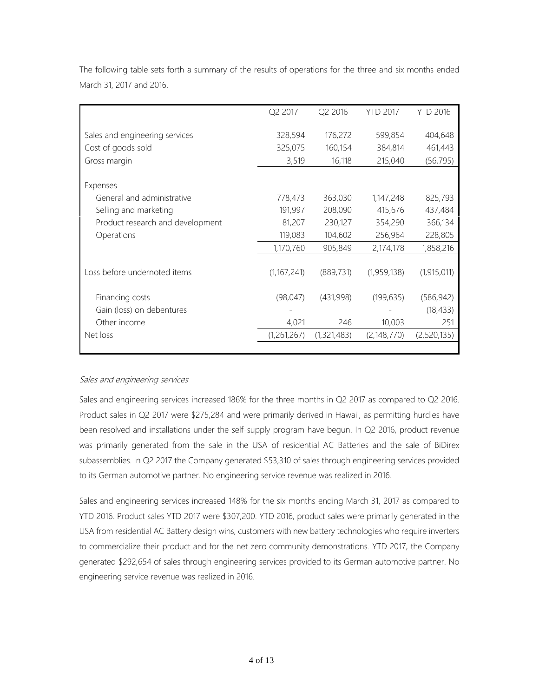|                                  | Q2 2017     | Q2 2016     | <b>YTD 2017</b> | <b>YTD 2016</b> |
|----------------------------------|-------------|-------------|-----------------|-----------------|
| Sales and engineering services   | 328,594     | 176,272     | 599,854         | 404,648         |
| Cost of goods sold               | 325,075     | 160,154     | 384,814         | 461,443         |
| Gross margin                     | 3,519       | 16,118      | 215,040         | (56, 795)       |
| Expenses                         |             |             |                 |                 |
| General and administrative       | 778,473     | 363,030     | 1,147,248       | 825,793         |
| Selling and marketing            | 191,997     | 208,090     | 415,676         | 437,484         |
| Product research and development | 81,207      | 230,127     | 354,290         | 366,134         |
| Operations                       | 119,083     | 104,602     | 256,964         | 228,805         |
|                                  | 1,170,760   | 905,849     | 2,174,178       | 1,858,216       |
| Loss before undernoted items     | (1,167,241) | (889, 731)  | (1,959,138)     | (1, 915, 011)   |
| Financing costs                  | (98, 047)   | (431,998)   | (199, 635)      | (586, 942)      |
| Gain (loss) on debentures        |             |             |                 | (18, 433)       |
| Other income                     | 4,021       | 246         | 10,003          | 251             |
| Net loss                         | (1,261,267) | (1,321,483) | (2, 148, 770)   | (2,520,135)     |
|                                  |             |             |                 |                 |

The following table sets forth a summary of the results of operations for the three and six months ended March 31, 2017 and 2016.

## Sales and engineering services

Sales and engineering services increased 186% for the three months in Q2 2017 as compared to Q2 2016. Product sales in Q2 2017 were \$275,284 and were primarily derived in Hawaii, as permitting hurdles have been resolved and installations under the self-supply program have begun. In Q2 2016, product revenue was primarily generated from the sale in the USA of residential AC Batteries and the sale of BiDirex subassemblies. In Q2 2017 the Company generated \$53,310 of sales through engineering services provided to its German automotive partner. No engineering service revenue was realized in 2016.

Sales and engineering services increased 148% for the six months ending March 31, 2017 as compared to YTD 2016. Product sales YTD 2017 were \$307,200. YTD 2016, product sales were primarily generated in the USA from residential AC Battery design wins, customers with new battery technologies who require inverters to commercialize their product and for the net zero community demonstrations. YTD 2017, the Company generated \$292,654 of sales through engineering services provided to its German automotive partner. No engineering service revenue was realized in 2016.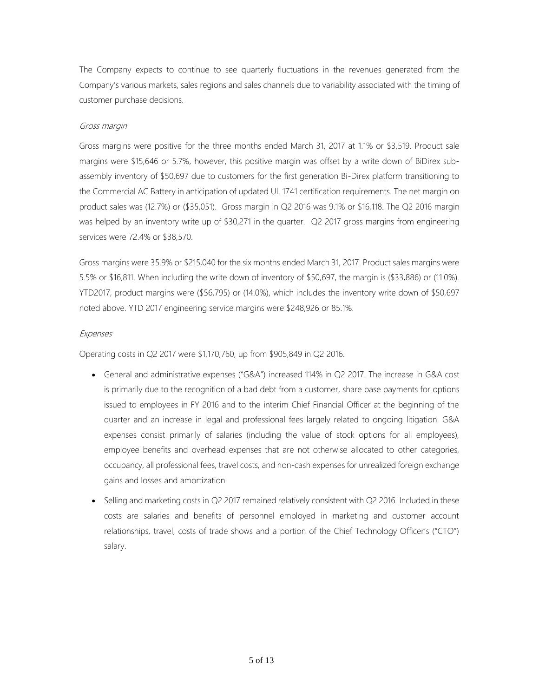The Company expects to continue to see quarterly fluctuations in the revenues generated from the Company's various markets, sales regions and sales channels due to variability associated with the timing of customer purchase decisions.

# Gross margin

Gross margins were positive for the three months ended March 31, 2017 at 1.1% or \$3,519. Product sale margins were \$15,646 or 5.7%, however, this positive margin was offset by a write down of BiDirex subassembly inventory of \$50,697 due to customers for the first generation Bi-Direx platform transitioning to the Commercial AC Battery in anticipation of updated UL 1741 certification requirements. The net margin on product sales was (12.7%) or (\$35,051). Gross margin in Q2 2016 was 9.1% or \$16,118. The Q2 2016 margin was helped by an inventory write up of \$30,271 in the quarter. Q2 2017 gross margins from engineering services were 72.4% or \$38,570.

Gross margins were 35.9% or \$215,040 for the six months ended March 31, 2017. Product sales margins were 5.5% or \$16,811. When including the write down of inventory of \$50,697, the margin is (\$33,886) or (11.0%). YTD2017, product margins were (\$56,795) or (14.0%), which includes the inventory write down of \$50,697 noted above. YTD 2017 engineering service margins were \$248,926 or 85.1%.

## Expenses

Operating costs in Q2 2017 were \$1,170,760, up from \$905,849 in Q2 2016.

- General and administrative expenses ("G&A") increased 114% in Q2 2017. The increase in G&A cost is primarily due to the recognition of a bad debt from a customer, share base payments for options issued to employees in FY 2016 and to the interim Chief Financial Officer at the beginning of the quarter and an increase in legal and professional fees largely related to ongoing litigation. G&A expenses consist primarily of salaries (including the value of stock options for all employees), employee benefits and overhead expenses that are not otherwise allocated to other categories, occupancy, all professional fees, travel costs, and non-cash expenses for unrealized foreign exchange gains and losses and amortization.
- Selling and marketing costs in Q2 2017 remained relatively consistent with Q2 2016. Included in these costs are salaries and benefits of personnel employed in marketing and customer account relationships, travel, costs of trade shows and a portion of the Chief Technology Officer's ("CTO") salary.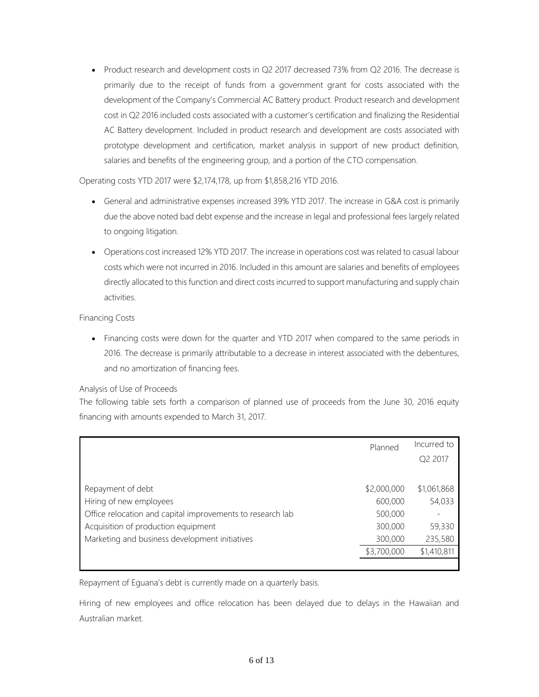• Product research and development costs in Q2 2017 decreased 73% from Q2 2016. The decrease is primarily due to the receipt of funds from a government grant for costs associated with the development of the Company's Commercial AC Battery product. Product research and development cost in Q2 2016 included costs associated with a customer's certification and finalizing the Residential AC Battery development. Included in product research and development are costs associated with prototype development and certification, market analysis in support of new product definition, salaries and benefits of the engineering group, and a portion of the CTO compensation.

Operating costs YTD 2017 were \$2,174,178, up from \$1,858,216 YTD 2016.

- General and administrative expenses increased 39% YTD 2017. The increase in G&A cost is primarily due the above noted bad debt expense and the increase in legal and professional fees largely related to ongoing litigation.
- Operations cost increased 12% YTD 2017. The increase in operations cost was related to casual labour costs which were not incurred in 2016. Included in this amount are salaries and benefits of employees directly allocated to this function and direct costs incurred to support manufacturing and supply chain activities.

## Financing Costs

• Financing costs were down for the quarter and YTD 2017 when compared to the same periods in 2016. The decrease is primarily attributable to a decrease in interest associated with the debentures, and no amortization of financing fees.

# Analysis of Use of Proceeds

The following table sets forth a comparison of planned use of proceeds from the June 30, 2016 equity financing with amounts expended to March 31, 2017.

|                                                            | Planned     | Incurred to |
|------------------------------------------------------------|-------------|-------------|
|                                                            |             | Q2 2017     |
|                                                            |             |             |
| Repayment of debt                                          | \$2,000,000 | \$1,061,868 |
| Hiring of new employees                                    | 600,000     | 54,033      |
| Office relocation and capital improvements to research lab | 500,000     |             |
| Acquisition of production equipment                        | 300,000     | 59,330      |
| Marketing and business development initiatives             | 300,000     | 235,580     |
|                                                            | \$3,700,000 | \$1,410,811 |
|                                                            |             |             |

Repayment of Eguana's debt is currently made on a quarterly basis.

Hiring of new employees and office relocation has been delayed due to delays in the Hawaiian and Australian market.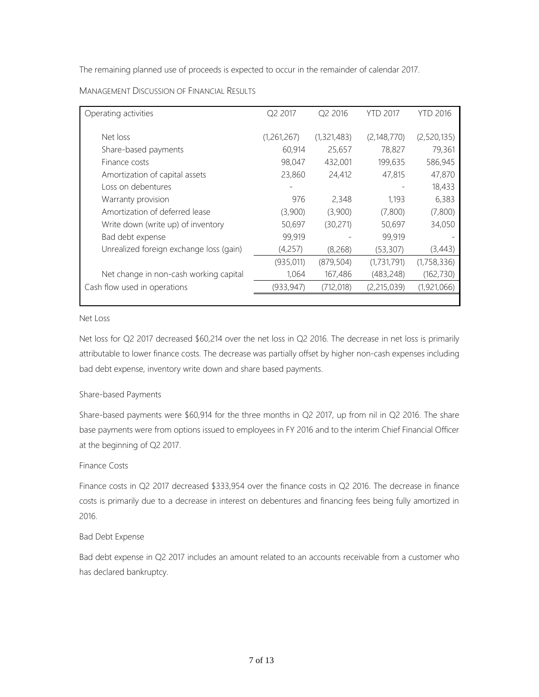The remaining planned use of proceeds is expected to occur in the remainder of calendar 2017.

| Operating activities                    | Q2 2017     | Q2 2016     | <b>YTD 2017</b> | <b>YTD 2016</b> |
|-----------------------------------------|-------------|-------------|-----------------|-----------------|
| Net loss                                | (1,261,267) | (1,321,483) | (2,148,770)     | (2,520,135)     |
| Share-based payments                    | 60,914      | 25,657      | 78,827          | 79,361          |
| Finance costs                           | 98,047      | 432,001     | 199,635         | 586,945         |
| Amortization of capital assets          | 23,860      | 24,412      | 47,815          | 47,870          |
| Loss on debentures                      |             |             |                 | 18,433          |
| Warranty provision                      | 976         | 2,348       | 1.193           | 6,383           |
| Amortization of deferred lease          | (3,900)     | (3,900)     | (7,800)         | (7,800)         |
| Write down (write up) of inventory      | 50,697      | (30,271)    | 50,697          | 34,050          |
| Bad debt expense                        | 99,919      |             | 99,919          |                 |
| Unrealized foreign exchange loss (gain) | (4,257)     | (8, 268)    | (53, 307)       | (3,443)         |
|                                         | (935, 011)  | (879, 504)  | (1,731,791)     | (1,758,336)     |
| Net change in non-cash working capital  | 1,064       | 167,486     | (483, 248)      | (162, 730)      |
| Cash flow used in operations            | (933, 947)  | (712, 018)  | (2,215,039)     | (1,921,066)     |
|                                         |             |             |                 |                 |

MANAGEMENT DISCUSSION OF FINANCIAL RESULTS

## Net Loss

Net loss for Q2 2017 decreased \$60,214 over the net loss in Q2 2016. The decrease in net loss is primarily attributable to lower finance costs. The decrease was partially offset by higher non-cash expenses including bad debt expense, inventory write down and share based payments.

# Share-based Payments

Share-based payments were \$60,914 for the three months in Q2 2017, up from nil in Q2 2016. The share base payments were from options issued to employees in FY 2016 and to the interim Chief Financial Officer at the beginning of Q2 2017.

# Finance Costs

Finance costs in Q2 2017 decreased \$333,954 over the finance costs in Q2 2016. The decrease in finance costs is primarily due to a decrease in interest on debentures and financing fees being fully amortized in 2016.

# Bad Debt Expense

Bad debt expense in Q2 2017 includes an amount related to an accounts receivable from a customer who has declared bankruptcy.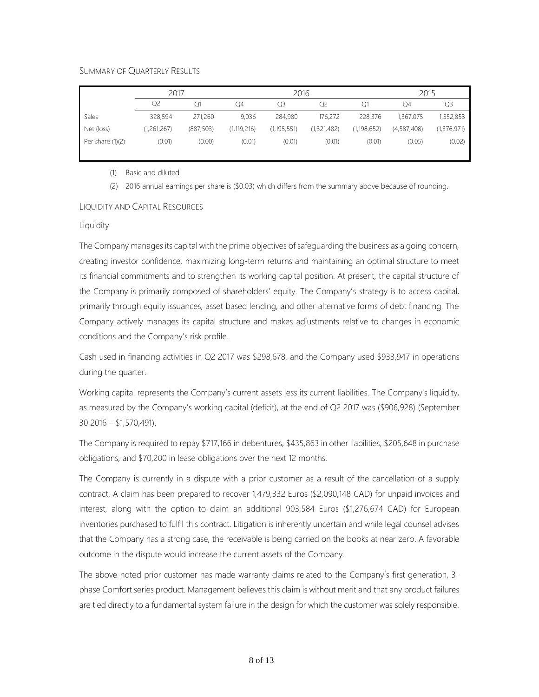## SUMMARY OF QUARTERLY RESULTS

|                    | 2017        |            |               | 2016          |             |               | 2015        |             |  |
|--------------------|-------------|------------|---------------|---------------|-------------|---------------|-------------|-------------|--|
|                    | Q2          |            | O4            | Q3            | Q2          | Q1            | Q4          | Q3          |  |
| Sales              | 328,594     | 271,260    | 9,036         | 284,980       | 176,272     | 228,376       | 1,367,075   | 1,552,853   |  |
| Net (loss)         | (1,261,267) | (887, 503) | (1, 119, 216) | (1, 195, 551) | (1,321,482) | (1, 198, 652) | (4,587,408) | (1,376,971) |  |
| Per share $(1)(2)$ | (0.01)      | (0.00)     | (0.01)        | (0.01)        | (0.01)      | (0.01)        | (0.05)      | (0.02)      |  |

(1) Basic and diluted

(2) 2016 annual earnings per share is (\$0.03) which differs from the summary above because of rounding.

## LIQUIDITY AND CAPITAL RESOURCES

#### Liquidity

The Company manages its capital with the prime objectives of safeguarding the business as a going concern, creating investor confidence, maximizing long-term returns and maintaining an optimal structure to meet its financial commitments and to strengthen its working capital position. At present, the capital structure of the Company is primarily composed of shareholders' equity. The Company's strategy is to access capital, primarily through equity issuances, asset based lending, and other alternative forms of debt financing. The Company actively manages its capital structure and makes adjustments relative to changes in economic conditions and the Company's risk profile.

Cash used in financing activities in Q2 2017 was \$298,678, and the Company used \$933,947 in operations during the quarter.

Working capital represents the Company's current assets less its current liabilities. The Company's liquidity, as measured by the Company's working capital (deficit), at the end of Q2 2017 was (\$906,928) (September 30 2016 – \$1,570,491).

The Company is required to repay \$717,166 in debentures, \$435,863 in other liabilities, \$205,648 in purchase obligations, and \$70,200 in lease obligations over the next 12 months.

The Company is currently in a dispute with a prior customer as a result of the cancellation of a supply contract. A claim has been prepared to recover 1,479,332 Euros (\$2,090,148 CAD) for unpaid invoices and interest, along with the option to claim an additional 903,584 Euros (\$1,276,674 CAD) for European inventories purchased to fulfil this contract. Litigation is inherently uncertain and while legal counsel advises that the Company has a strong case, the receivable is being carried on the books at near zero. A favorable outcome in the dispute would increase the current assets of the Company.

The above noted prior customer has made warranty claims related to the Company's first generation, 3 phase Comfort series product. Management believes this claim is without merit and that any product failures are tied directly to a fundamental system failure in the design for which the customer was solely responsible.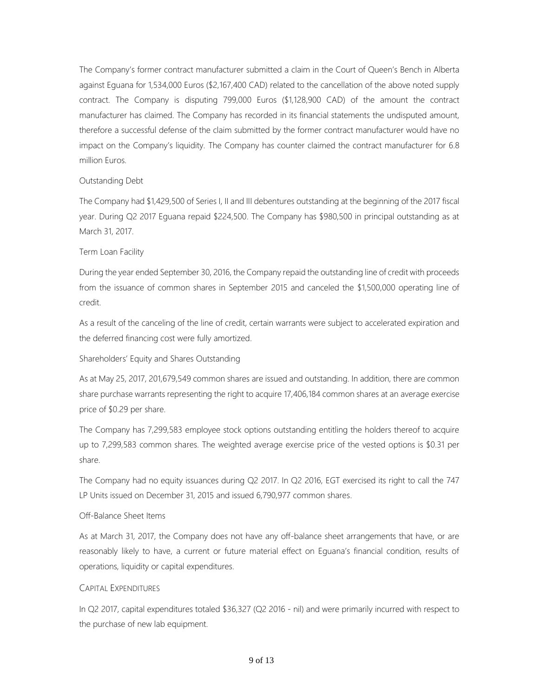The Company's former contract manufacturer submitted a claim in the Court of Queen's Bench in Alberta against Eguana for 1,534,000 Euros (\$2,167,400 CAD) related to the cancellation of the above noted supply contract. The Company is disputing 799,000 Euros (\$1,128,900 CAD) of the amount the contract manufacturer has claimed. The Company has recorded in its financial statements the undisputed amount, therefore a successful defense of the claim submitted by the former contract manufacturer would have no impact on the Company's liquidity. The Company has counter claimed the contract manufacturer for 6.8 million Euros.

## Outstanding Debt

The Company had \$1,429,500 of Series I, II and III debentures outstanding at the beginning of the 2017 fiscal year. During Q2 2017 Eguana repaid \$224,500. The Company has \$980,500 in principal outstanding as at March 31, 2017.

## Term Loan Facility

During the year ended September 30, 2016, the Company repaid the outstanding line of credit with proceeds from the issuance of common shares in September 2015 and canceled the \$1,500,000 operating line of credit.

As a result of the canceling of the line of credit, certain warrants were subject to accelerated expiration and the deferred financing cost were fully amortized.

# Shareholders' Equity and Shares Outstanding

As at May 25, 2017, 201,679,549 common shares are issued and outstanding. In addition, there are common share purchase warrants representing the right to acquire 17,406,184 common shares at an average exercise price of \$0.29 per share.

The Company has 7,299,583 employee stock options outstanding entitling the holders thereof to acquire up to 7,299,583 common shares. The weighted average exercise price of the vested options is \$0.31 per share.

The Company had no equity issuances during Q2 2017. In Q2 2016, EGT exercised its right to call the 747 LP Units issued on December 31, 2015 and issued 6,790,977 common shares.

## Off-Balance Sheet Items

As at March 31, 2017, the Company does not have any off-balance sheet arrangements that have, or are reasonably likely to have, a current or future material effect on Eguana's financial condition, results of operations, liquidity or capital expenditures.

## CAPITAL EXPENDITURES

In Q2 2017, capital expenditures totaled \$36,327 (Q2 2016 - nil) and were primarily incurred with respect to the purchase of new lab equipment.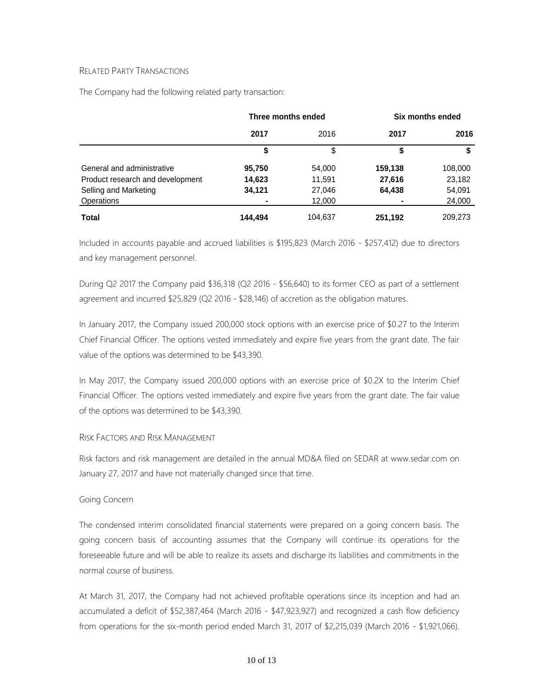## RELATED PARTY TRANSACTIONS

The Company had the following related party transaction:

|                                  | Three months ended |         | Six months ended |         |  |
|----------------------------------|--------------------|---------|------------------|---------|--|
|                                  | 2017               | 2016    | 2017             | 2016    |  |
|                                  | \$                 | \$      | \$               |         |  |
| General and administrative       | 95,750             | 54,000  | 159,138          | 108,000 |  |
| Product research and development | 14,623             | 11,591  | 27,616           | 23,182  |  |
| Selling and Marketing            | 34,121             | 27,046  | 64,438           | 54,091  |  |
| <b>Operations</b>                |                    | 12,000  |                  | 24,000  |  |
| <b>Total</b>                     | 144.494            | 104,637 | 251,192          | 209,273 |  |

Included in accounts payable and accrued liabilities is \$195,823 (March 2016 - \$257,412) due to directors and key management personnel.

During Q2 2017 the Company paid \$36,318 (Q2 2016 - \$56,640) to its former CEO as part of a settlement agreement and incurred \$25,829 (Q2 2016 - \$28,146) of accretion as the obligation matures.

In January 2017, the Company issued 200,000 stock options with an exercise price of \$0.27 to the Interim Chief Financial Officer. The options vested immediately and expire five years from the grant date. The fair value of the options was determined to be \$43,390.

In May 2017, the Company issued 200,000 options with an exercise price of \$0.2X to the Interim Chief Financial Officer. The options vested immediately and expire five years from the grant date. The fair value of the options was determined to be \$43,390.

## RISK FACTORS AND RISK MANAGEMENT

Risk factors and risk management are detailed in the annual MD&A filed on SEDAR at [www.sedar.com](http://www.sedar.com/) on January 27, 2017 and have not materially changed since that time.

## Going Concern

The condensed interim consolidated financial statements were prepared on a going concern basis. The going concern basis of accounting assumes that the Company will continue its operations for the foreseeable future and will be able to realize its assets and discharge its liabilities and commitments in the normal course of business.

At March 31, 2017, the Company had not achieved profitable operations since its inception and had an accumulated a deficit of \$52,387,464 (March 2016 - \$47,923,927) and recognized a cash flow deficiency from operations for the six-month period ended March 31, 2017 of \$2,215,039 (March 2016 - \$1,921,066).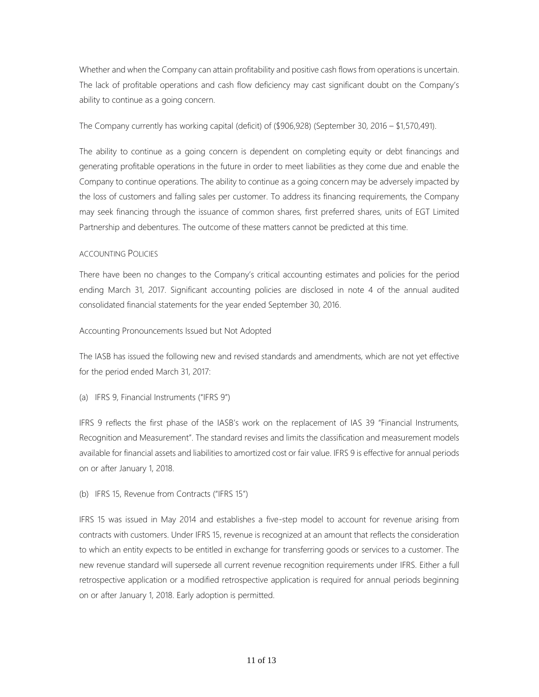Whether and when the Company can attain profitability and positive cash flows from operations is uncertain. The lack of profitable operations and cash flow deficiency may cast significant doubt on the Company's ability to continue as a going concern.

The Company currently has working capital (deficit) of (\$906,928) (September 30, 2016 – \$1,570,491).

The ability to continue as a going concern is dependent on completing equity or debt financings and generating profitable operations in the future in order to meet liabilities as they come due and enable the Company to continue operations. The ability to continue as a going concern may be adversely impacted by the loss of customers and falling sales per customer. To address its financing requirements, the Company may seek financing through the issuance of common shares, first preferred shares, units of EGT Limited Partnership and debentures. The outcome of these matters cannot be predicted at this time.

## ACCOUNTING POLICIES

There have been no changes to the Company's critical accounting estimates and policies for the period ending March 31, 2017. Significant accounting policies are disclosed in note 4 of the annual audited consolidated financial statements for the year ended September 30, 2016.

Accounting Pronouncements Issued but Not Adopted

The IASB has issued the following new and revised standards and amendments, which are not yet effective for the period ended March 31, 2017:

## (a) IFRS 9, Financial Instruments ("IFRS 9")

IFRS 9 reflects the first phase of the IASB's work on the replacement of IAS 39 "Financial Instruments, Recognition and Measurement". The standard revises and limits the classification and measurement models available for financial assets and liabilities to amortized cost or fair value. IFRS 9 is effective for annual periods on or after January 1, 2018.

# (b) IFRS 15, Revenue from Contracts ("IFRS 15")

IFRS 15 was issued in May 2014 and establishes a five-step model to account for revenue arising from contracts with customers. Under IFRS 15, revenue is recognized at an amount that reflects the consideration to which an entity expects to be entitled in exchange for transferring goods or services to a customer. The new revenue standard will supersede all current revenue recognition requirements under IFRS. Either a full retrospective application or a modified retrospective application is required for annual periods beginning on or after January 1, 2018. Early adoption is permitted.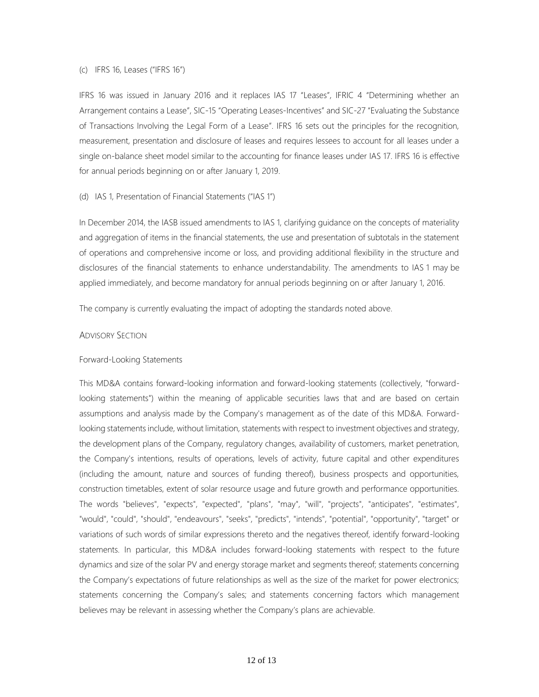#### (c) IFRS 16, Leases ("IFRS 16")

IFRS 16 was issued in January 2016 and it replaces IAS 17 "Leases", IFRIC 4 "Determining whether an Arrangement contains a Lease", SIC-15 "Operating Leases-Incentives" and SIC-27 "Evaluating the Substance of Transactions Involving the Legal Form of a Lease". IFRS 16 sets out the principles for the recognition, measurement, presentation and disclosure of leases and requires lessees to account for all leases under a single on-balance sheet model similar to the accounting for finance leases under IAS 17. IFRS 16 is effective for annual periods beginning on or after January 1, 2019.

#### (d) IAS 1, Presentation of Financial Statements ("IAS 1")

In December 2014, the IASB issued amendments to IAS 1, clarifying guidance on the concepts of materiality and aggregation of items in the financial statements, the use and presentation of subtotals in the statement of operations and comprehensive income or loss, and providing additional flexibility in the structure and disclosures of the financial statements to enhance understandability. The amendments to IAS 1 may be applied immediately, and become mandatory for annual periods beginning on or after January 1, 2016.

The company is currently evaluating the impact of adopting the standards noted above.

#### ADVISORY SECTION

#### Forward-Looking Statements

This MD&A contains forward-looking information and forward-looking statements (collectively, "forwardlooking statements") within the meaning of applicable securities laws that and are based on certain assumptions and analysis made by the Company's management as of the date of this MD&A. Forwardlooking statements include, without limitation, statements with respect to investment objectives and strategy, the development plans of the Company, regulatory changes, availability of customers, market penetration, the Company's intentions, results of operations, levels of activity, future capital and other expenditures (including the amount, nature and sources of funding thereof), business prospects and opportunities, construction timetables, extent of solar resource usage and future growth and performance opportunities. The words "believes", "expects", "expected", "plans", "may", "will", "projects", "anticipates", "estimates", "would", "could", "should", "endeavours", "seeks", "predicts", "intends", "potential", "opportunity", "target" or variations of such words of similar expressions thereto and the negatives thereof, identify forward-looking statements. In particular, this MD&A includes forward-looking statements with respect to the future dynamics and size of the solar PV and energy storage market and segments thereof; statements concerning the Company's expectations of future relationships as well as the size of the market for power electronics; statements concerning the Company's sales; and statements concerning factors which management believes may be relevant in assessing whether the Company's plans are achievable.